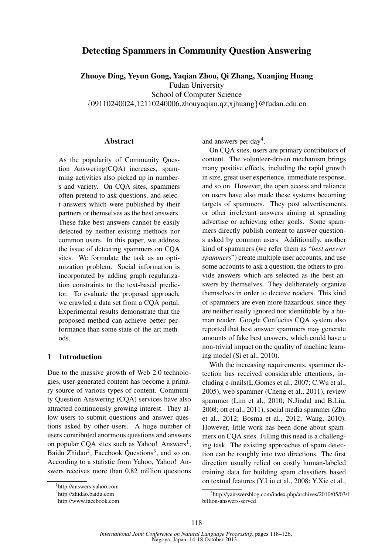# Detecting Spammers in Community Question Answering

Zhuoye Ding, Yeyun Gong, Yaqian Zhou, Qi Zhang, Xuanjing Huang Fudan University School of Computer Science

*{*09110240024,12110240006,zhouyaqian,qz,xjhuang*}*@fudan.edu.cn

# Abstract

As the popularity of Community Question Answering(CQA) increases, spamming activities also picked up in numbers and variety. On CQA sites, spammers often pretend to ask questions, and select answers which were published by their partners or themselves as the best answers. These fake best answers cannot be easily detected by neither existing methods nor common users. In this paper, we address the issue of detecting spammers on CQA sites. We formulate the task as an optimization problem. Social information is incorporated by adding graph regularization constraints to the text-based predictor. To evaluate the proposed approach, we crawled a data set from a CQA portal. Experimental results demonstrate that the proposed method can achieve better performance than some state-of-the-art methods.

# 1 Introduction

Due to the massive growth of Web 2.0 technologies, user-generated content has become a primary source of various types of content. Community Question Answering (CQA) services have also attracted continuously growing interest. They allow users to submit questions and answer questions asked by other users. A huge number of users contributed enormous questions and answers on popular CQA sites such as Yahoo! Answers<sup>1</sup>, Baidu Zhidao<sup>2</sup>, Facebook Questions<sup>3</sup>, and so on. According to a statistic from Yahoo, Yahoo! Answers receives more than 0.82 million questions and answers per day<sup>4</sup>.

On CQA sites, users are primary contributors of content. The volunteer-driven mechanism brings many positive effects, including the rapid growth in size, great user experience, immediate response, and so on. However, the open access and reliance on users have also made these systems becoming targets of spammers. They post advertisements or other irrelevant answers aiming at spreading advertise or achieving other goals. Some spammers directly publish content to answer questions asked by common users. Additionally, another kind of spammers (we refer them as "*best answer spammers*") create multiple user accounts, and use some accounts to ask a question, the others to provide answers which are selected as the best answers by themselves. They deliberately organize themselves in order to deceive readers. This kind of spammers are even more hazardous, since they are neither easily ignored nor identifiable by a human reader. Google Confucius CQA system also reported that best answer spammers may generate amounts of fake best answers, which could have a non-trivial impact on the quality of machine learning model (Si et al., 2010).

With the increasing requirements, spammer detection has received considerable attentions, including e-mails(L.Gomes et al., 2007; C.Wu et al., 2005), web spammer (Cheng et al., 2011), review spammer (Lim et al., 2010; N.Jindal and B.Liu, 2008; ott et al., 2011), social media spammer (Zhu et al., 2012; Bosma et al., 2012; Wang, 2010). However, little work has been done about spammers on CQA sites. Filling this need is a challenging task. The existing approaches of spam detection can be roughly into two directions. The first direction usually relied on costly human-labeled training data for building spam classifiers based on textual features (Y.Liu et al., 2008; Y.Xie et al.,

<sup>1</sup> http://answers.yahoo.com

<sup>2</sup> http://zhidao.baidu.com

<sup>3</sup> http://www.facebook.com

<sup>4</sup> http://yanswersblog.com/index.php/archives/2010/05/03/1 billion-answers-served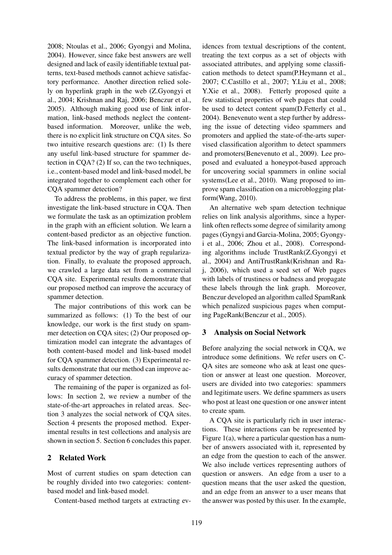2008; Ntoulas et al., 2006; Gyongyi and Molina, 2004). However, since fake best answers are well designed and lack of easily identifiable textual patterns, text-based methods cannot achieve satisfactory performance. Another direction relied solely on hyperlink graph in the web (Z.Gyongyi et al., 2004; Krishnan and Raj, 2006; Benczur et al., 2005). Although making good use of link information, link-based methods neglect the contentbased information. Moreover, unlike the web, there is no explicit link structure on CQA sites. So two intuitive research questions are: (1) Is there any useful link-based structure for spammer detection in CQA? (2) If so, can the two techniques, i.e., content-based model and link-based model, be integrated together to complement each other for CQA spammer detection?

To address the problems, in this paper, we first investigate the link-based structure in CQA. Then we formulate the task as an optimization problem in the graph with an efficient solution. We learn a content-based predictor as an objective function. The link-based information is incorporated into textual predictor by the way of graph regularization. Finally, to evaluate the proposed approach, we crawled a large data set from a commercial CQA site. Experimental results demonstrate that our proposed method can improve the accuracy of spammer detection.

The major contributions of this work can be summarized as follows: (1) To the best of our knowledge, our work is the first study on spammer detection on CQA sites; (2) Our proposed optimization model can integrate the advantages of both content-based model and link-based model for CQA spammer detection. (3) Experimental results demonstrate that our method can improve accuracy of spammer detection.

The remaining of the paper is organized as follows: In section 2, we review a number of the state-of-the-art approaches in related areas. Section 3 analyzes the social network of CQA sites. Section 4 presents the proposed method. Experimental results in test collections and analysis are shown in section 5. Section 6 concludes this paper.

# 2 Related Work

Most of current studies on spam detection can be roughly divided into two categories: contentbased model and link-based model.

Content-based method targets at extracting ev-

idences from textual descriptions of the content, treating the text corpus as a set of objects with associated attributes, and applying some classification methods to detect spam(P.Heymann et al., 2007; C.Castillo et al., 2007; Y.Liu et al., 2008; Y.Xie et al., 2008). Fetterly proposed quite a few statistical properties of web pages that could be used to detect content spam(D.Fetterly et al., 2004). Benevenuto went a step further by addressing the issue of detecting video spammers and promoters and applied the state-of-the-arts supervised classification algorithm to detect spammers and promoters(Benevenuto et al., 2009). Lee proposed and evaluated a honeypot-based approach for uncovering social spammers in online social systems(Lee et al., 2010). Wang proposed to improve spam classification on a microblogging platform(Wang, 2010).

An alternative web spam detection technique relies on link analysis algorithms, since a hyperlink often reflects some degree of similarity among pages (Gyngyi and Garcia-Molina, 2005; Gyongyi et al., 2006; Zhou et al., 2008). Corresponding algorithms include TrustRank(Z.Gyongyi et al., 2004) and AntiTrustRank(Krishnan and Raj, 2006), which used a seed set of Web pages with labels of trustiness or badness and propagate these labels through the link graph. Moreover, Benczur developed an algorithm called SpamRank which penalized suspicious pages when computing PageRank(Benczur et al., 2005).

# 3 Analysis on Social Network

Before analyzing the social network in CQA, we introduce some definitions. We refer users on C-QA sites are someone who ask at least one question or answer at least one question. Moreover, users are divided into two categories: spammers and legitimate users. We define spammers as users who post at least one question or one answer intent to create spam.

A CQA site is particularly rich in user interactions. These interactions can be represented by Figure 1(a), where a particular question has a number of answers associated with it, represented by an edge from the question to each of the answer. We also include vertices representing authors of question or answers. An edge from a user to a question means that the user asked the question, and an edge from an answer to a user means that the answer was posted by this user. In the example,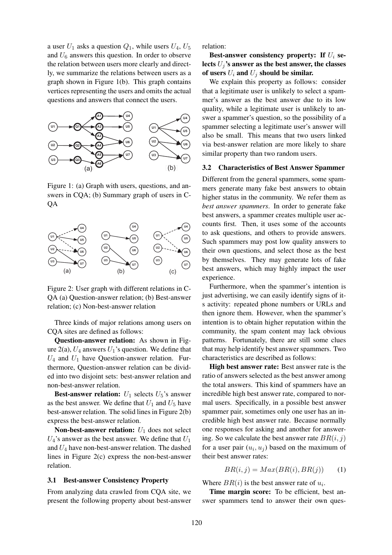a user  $U_1$  asks a question  $Q_1$ , while users  $U_4$ ,  $U_5$ and *U*<sup>6</sup> answers this question. In order to observe the relation between users more clearly and directly, we summarize the relations between users as a graph shown in Figure 1(b). This graph contains vertices representing the users and omits the actual questions and answers that connect the users.



Figure 1: (a) Graph with users, questions, and answers in CQA; (b) Summary graph of users in C-QA



Figure 2: User graph with different relations in C-QA (a) Question-answer relation; (b) Best-answer relation; (c) Non-best-answer relation

Three kinds of major relations among users on CQA sites are defined as follows:

Question-answer relation: As shown in Figure  $2(a)$ ,  $U_4$  answers  $U_1$ 's question. We define that  $U_4$  and  $U_1$  have Question-answer relation. Furthermore, Question-answer relation can be divided into two disjoint sets: best-answer relation and non-best-answer relation.

**Best-answer relation:**  $U_1$  selects  $U_5$ 's answer as the best answer. We define that  $U_1$  and  $U_5$  have best-answer relation. The solid lines in Figure 2(b) express the best-answer relation.

Non-best-answer relation: *U*<sup>1</sup> does not select *U*4's answer as the best answer. We define that *U*<sup>1</sup> and *U*<sup>4</sup> have non-best-answer relation. The dashed lines in Figure 2(c) express the non-best-answer relation.

#### 3.1 Best-answer Consistency Property

From analyzing data crawled from CQA site, we present the following property about best-answer relation:

Best-answer consistency property: If *U<sup>i</sup>* selects  $U_j$ 's answer as the best answer, the classes of users  $U_i$  and  $U_j$  should be similar.

We explain this property as follows: consider that a legitimate user is unlikely to select a spammer's answer as the best answer due to its low quality, while a legitimate user is unlikely to answer a spammer's question, so the possibility of a spammer selecting a legitimate user's answer will also be small. This means that two users linked via best-answer relation are more likely to share similar property than two random users.

#### 3.2 Characteristics of Best Answer Spammer

Different from the general spammers, some spammers generate many fake best answers to obtain higher status in the community. We refer them as *best answer spammers*. In order to generate fake best answers, a spammer creates multiple user accounts first. Then, it uses some of the accounts to ask questions, and others to provide answers. Such spammers may post low quality answers to their own questions, and select those as the best by themselves. They may generate lots of fake best answers, which may highly impact the user experience.

Furthermore, when the spammer's intention is just advertising, we can easily identify signs of its activity: repeated phone numbers or URLs and then ignore them. However, when the spammer's intention is to obtain higher reputation within the community, the spam content may lack obvious patterns. Fortunately, there are still some clues that may help identify best answer spammers. Two characteristics are described as follows:

High best answer rate: Best answer rate is the ratio of answers selected as the best answer among the total answers. This kind of spammers have an incredible high best answer rate, compared to normal users. Specifically, in a possible best answer spammer pair, sometimes only one user has an incredible high best answer rate. Because normally one responses for asking and another for answering. So we calculate the best answer rate  $BR(i, j)$ for a user pair  $(u_i, u_j)$  based on the maximum of their best answer rates:

$$
BR(i, j) = Max(BR(i), BR(j)) \qquad (1)
$$

Where  $BR(i)$  is the best answer rate of  $u_i$ .

Time margin score: To be efficient, best answer spammers tend to answer their own ques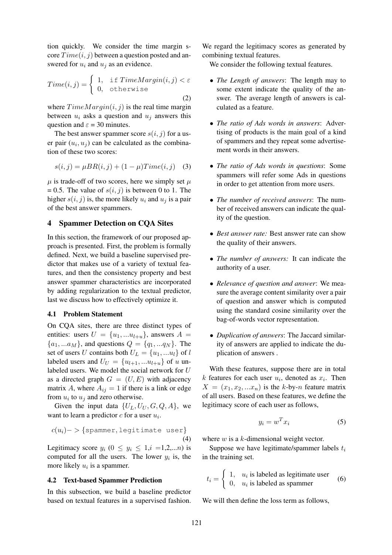tion quickly. We consider the time margin s $core Time(i, j)$  between a question posted and answered for  $u_i$  and  $u_j$  as an evidence.

$$
Time(i, j) = \begin{cases} 1, & \text{if } TimeMargin(i, j) < \varepsilon \\ 0, & \text{otherwise} \end{cases} \tag{2}
$$

where  $TimeMarqin(i, j)$  is the real time margin between  $u_i$  asks a question and  $u_j$  answers this question and  $\varepsilon = 30$  minutes.

The best answer spammer score  $s(i, j)$  for a user pair  $(u_i, u_j)$  can be calculated as the combination of these two scores:

$$
s(i, j) = \mu BR(i, j) + (1 - \mu) Time(i, j) \quad (3)
$$

 $\mu$  is trade-off of two scores, here we simply set  $\mu$  $= 0.5$ . The value of  $s(i, j)$  is between 0 to 1. The higher  $s(i, j)$  is, the more likely  $u_i$  and  $u_j$  is a pair of the best answer spammers.

# 4 Spammer Detection on CQA Sites

In this section, the framework of our proposed approach is presented. First, the problem is formally defined. Next, we build a baseline supervised predictor that makes use of a variety of textual features, and then the consistency property and best answer spammer characteristics are incorporated by adding regularization to the textual predictor, last we discuss how to effectively optimize it.

# 4.1 Problem Statement

On CQA sites, there are three distinct types of entities: users  $U = \{u_1, \ldots u_{l+u}\}\$ , answers  $A =$  ${a_1, ... a_M}$ , and questions  $Q = {q_1, ... q_N}$ . The set of users *U* contains both  $U_L = \{u_1, ... u_l\}$  of *l* labeled users and  $U_U = \{u_{l+1}, \dots u_{l+u}\}\$  of *u* unlabeled users. We model the social network for *U* as a directed graph  $G = (U, E)$  with adjacency matrix *A*, where  $A_{ij} = 1$  if there is a link or edge from  $u_i$  to  $u_j$  and zero otherwise.

Given the input data  $\{U_L, U_U, G, Q, A\}$ , we want to learn a predictor *c* for a user *u<sup>i</sup>* .

$$
c(u_i) -> \{\text{spammer}, \text{legitimate user}\}\tag{4}
$$

Legitimacy score  $y_i$  ( $0 \le y_i \le 1, i =1,2,...n$ ) is computed for all the users. The lower  $y_i$  is, the more likely  $u_i$  is a spammer.

# 4.2 Text-based Spammer Prediction

In this subsection, we build a baseline predictor based on textual features in a supervised fashion.

We regard the legitimacy scores as generated by combining textual features.

We consider the following textual features.

- *• The Length of answers*: The length may to some extent indicate the quality of the answer. The average length of answers is calculated as a feature.
- *• The ratio of Ads words in answers*: Advertising of products is the main goal of a kind of spammers and they repeat some advertisement words in their answers.
- *• The ratio of Ads words in questions*: Some spammers will refer some Ads in questions in order to get attention from more users.
- *• The number of received answers*: The number of received answers can indicate the quality of the question.
- *• Best answer rate:* Best answer rate can show the quality of their answers.
- *• The number of answers:* It can indicate the authority of a user.
- *• Relevance of question and answer*: We measure the average content similarity over a pair of question and answer which is computed using the standard cosine similarity over the bag-of-words vector representation.
- *• Duplication of answers*: The Jaccard similarity of answers are applied to indicate the duplication of answers .

With these features, suppose there are in total *k* features for each user  $u_i$ , denoted as  $x_i$ . Then  $X = (x_1, x_2, ... x_n)$  is the *k*-by-*n* feature matrix of all users. Based on these features, we define the legitimacy score of each user as follows,

$$
y_i = w^T x_i \tag{5}
$$

where *w* is a *k*-dimensional weight vector.

Suppose we have legitimate/spammer labels *t<sup>i</sup>* in the training set.

$$
t_i = \begin{cases} 1, & u_i \text{ is labeled as legitimate user} \\ 0, & u_i \text{ is labeled as spammer} \end{cases}
$$
 (6)

We will then define the loss term as follows,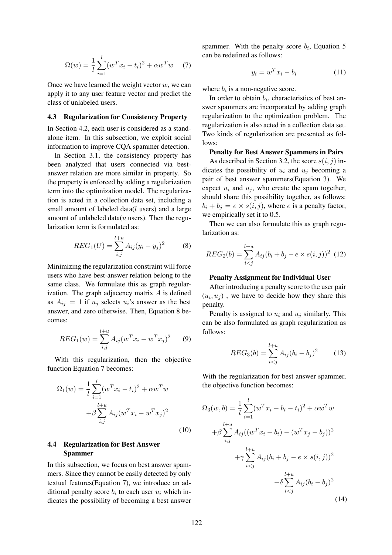$$
\Omega(w) = \frac{1}{l} \sum_{i=1}^{l} (w^T x_i - t_i)^2 + \alpha w^T w \quad (7)
$$

Once we have learned the weight vector *w*, we can apply it to any user feature vector and predict the class of unlabeled users.

### 4.3 Regularization for Consistency Property

In Section 4.2, each user is considered as a standalone item. In this subsection, we exploit social information to improve CQA spammer detection.

In Section 3.1, the consistency property has been analyzed that users connected via bestanswer relation are more similar in property. So the property is enforced by adding a regularization term into the optimization model. The regularization is acted in a collection data set, including a small amount of labeled data(*l* users) and a large amount of unlabeled data(*u* users). Then the regularization term is formulated as:

$$
REG_1(U) = \sum_{i,j}^{l+u} A_{ij} (y_i - y_j)^2
$$
 (8)

Minimizing the regularization constraint will force users who have best-answer relation belong to the same class. We formulate this as graph regularization. The graph adjacency matrix *A* is defined as  $A_{ij} = 1$  if  $u_j$  selects  $u_i$ 's answer as the best answer, and zero otherwise. Then, Equation 8 becomes:

$$
REG_1(w) = \sum_{i,j}^{l+u} A_{ij} (w^T x_i - w^T x_j)^2 \qquad (9)
$$

With this regularization, then the objective function Equation 7 becomes:

$$
\Omega_1(w) = \frac{1}{l} \sum_{i=1}^{l} (w^T x_i - t_i)^2 + \alpha w^T w
$$

$$
+ \beta \sum_{i,j}^{l+u} A_{ij} (w^T x_i - w^T x_j)^2
$$
\n(10)

# 4.4 Regularization for Best Answer Spammer

In this subsection, we focus on best answer spammers. Since they cannot be easily detected by only textual features(Equation 7), we introduce an additional penalty score  $b_i$  to each user  $u_i$  which indicates the possibility of becoming a best answer

spammer. With the penalty score  $b_i$ , Equation 5 can be redefined as follows:

$$
y_i = w^T x_i - b_i \tag{11}
$$

where  $b_i$  is a non-negative score.

In order to obtain  $b_i$ , characteristics of best answer spammers are incorporated by adding graph regularization to the optimization problem. The regularization is also acted in a collection data set. Two kinds of regularization are presented as follows:

# Penalty for Best Answer Spammers in Pairs

As described in Section 3.2, the score  $s(i, j)$  indicates the possibility of  $u_i$  and  $u_j$  becoming a pair of best answer spammers(Equation 3). We expect  $u_i$  and  $u_j$ , who create the spam together, should share this possibility together, as follows:  $b_i + b_j = e \times s(i, j)$ , where *e* is a penalty factor, we empirically set it to 0.5.

Then we can also formulate this as graph regularization as:

$$
REG_2(b) = \sum_{i < j}^{l+u} A_{ij}(b_i + b_j - e \times s(i, j))^2 \tag{12}
$$

#### Penalty Assignment for Individual User

After introducing a penalty score to the user pair  $(u_i, u_j)$ , we have to decide how they share this penalty.

Penalty is assigned to  $u_i$  and  $u_j$  similarly. This can be also formulated as graph regularization as follows:

$$
REG_3(b) = \sum_{i < j}^{l+u} A_{ij} (b_i - b_j)^2 \tag{13}
$$

With the regularization for best answer spammer, the objective function becomes:

$$
\Omega_3(w, b) = \frac{1}{l} \sum_{i=1}^{l} (w^T x_i - b_i - t_i)^2 + \alpha w^T w
$$
  
+  $\beta \sum_{i,j}^{l+u} A_{ij} ((w^T x_i - b_i) - (w^T x_j - b_j))^2$   
+  $\gamma \sum_{i  
+  $\delta \sum_{i (14)$$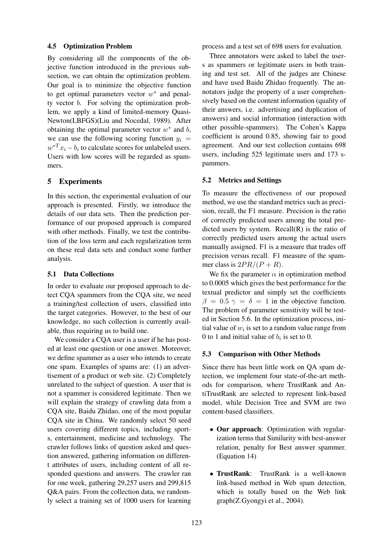# 4.5 Optimization Problem

By considering all the components of the objective function introduced in the previous subsection, we can obtain the optimization problem. Our goal is to minimize the objective function to get optimal parameters vector  $w^*$  and penalty vector *b*. For solving the optimization problem, we apply a kind of limited-memory Quasi-Newton(LBFGS)(Liu and Nocedal, 1989). After obtaining the optimal parameter vector  $w^*$  and  $b$ , we can use the following scoring function  $y_i$  $w^{*T}x_i - b_i$  to calculate scores for unlabeled users. Users with low scores will be regarded as spammers.

# 5 Experiments

In this section, the experimental evaluation of our approach is presented. Firstly, we introduce the details of our data sets. Then the prediction performance of our proposed approach is compared with other methods. Finally, we test the contribution of the loss term and each regularization term on these real data sets and conduct some further analysis.

# 5.1 Data Collections

In order to evaluate our proposed approach to detect CQA spammers from the CQA site, we need a training/test collection of users, classified into the target categories. However, to the best of our knowledge, no such collection is currently available, thus requiring us to build one.

We consider a CQA user is a user if he has posted at least one question or one answer. Moreover, we define spammer as a user who intends to create one spam. Examples of spams are: (1) an advertisement of a product or web site. (2) Completely unrelated to the subject of question. A user that is not a spammer is considered legitimate. Then we will explain the strategy of crawling data from a CQA site, Baidu Zhidao, one of the most popular CQA site in China. We randomly select 50 seed users covering different topics, including sports, entertainment, medicine and technology. The crawler follows links of question asked and question answered, gathering information on different attributes of users, including content of all responded questions and answers. The crawler ran for one week, gathering 29,257 users and 299,815 Q&A pairs. From the collection data, we randomly select a training set of 1000 users for learning process and a test set of 698 users for evaluation.

Three annotators were asked to label the users as spammers or legitimate users in both training and test set. All of the judges are Chinese and have used Baidu Zhidao frequently. The annotators judge the property of a user comprehensively based on the content information (quality of their answers, i.e. advertising and duplication of answers) and social information (interaction with other possible-spammers). The Cohen's Kappa coefficient is around 0.85, showing fair to good agreement. And our test collection contains 698 users, including 525 legitimate users and 173 spammers.

# 5.2 Metrics and Settings

To measure the effectiveness of our proposed method, we use the standard metrics such as precision, recall, the F1 measure. Precision is the ratio of correctly predicted users among the total predicted users by system. Recall $(R)$  is the ratio of correctly predicted users among the actual users manually assigned. F1 is a measure that trades off precision versus recall. F1 measure of the spammer class is  $2PR/(P + R)$ .

We fix the parameter  $\alpha$  in optimization method to 0.0005 which gives the best performance for the textual predictor and simply set the coefficients  $\beta = 0.5 \gamma = \delta = 1$  in the objective function. The problem of parameter sensitivity will be tested in Section 5.6. In the optimization process, initial value of  $w_i$  is set to a random value range from 0 to 1 and initial value of  $b_i$  is set to 0.

# 5.3 Comparison with Other Methods

Since there has been little work on QA spam detection, we implement four state-of-the-art methods for comparison, where TrustRank and AntiTrustRank are selected to represent link-based model, while Decision Tree and SVM are two content-based classifiers.

- Our approach: Optimization with regularization terms that Similarity with best-answer relation, penalty for Best answer spammer. (Equation 14)
- TrustRank: TrustRank is a well-known link-based method in Web spam detection, which is totally based on the Web link graph(Z.Gyongyi et al., 2004).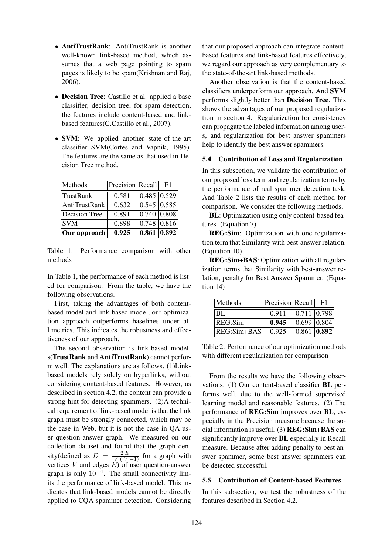- **AntiTrustRank**: AntiTrustRank is another well-known link-based method, which assumes that a web page pointing to spam pages is likely to be spam(Krishnan and Raj, 2006).
- Decision Tree: Castillo et al. applied a base classifier, decision tree, for spam detection, the features include content-based and linkbased features(C.Castillo et al., 2007).
- **SVM**: We applied another state-of-the-art classifier SVM(Cortes and Vapnik, 1995). The features are the same as that used in Decision Tree method.

| Methods       | Precision Recall |                    | F1 |
|---------------|------------------|--------------------|----|
| TrustRank     | 0.581            | 0.485   0.529      |    |
| AntiTrustRank | 0.632            | $0.545 \mid 0.585$ |    |
| Decision Tree | 0.891            | 0.740   0.808      |    |
| <b>SVM</b>    | 0.898            | $0.748$ 0.816      |    |
| Our approach  | 0.925            | 0.861 0.892        |    |

Table 1: Performance comparison with other methods

In Table 1, the performance of each method is listed for comparison. From the table, we have the following observations.

First, taking the advantages of both contentbased model and link-based model, our optimization approach outperforms baselines under all metrics. This indicates the robustness and effectiveness of our approach.

The second observation is link-based models(TrustRank and AntiTrustRank) cannot perform well. The explanations are as follows. (1)Linkbased models rely solely on hyperlinks, without considering content-based features. However, as described in section 4.2, the content can provide a strong hint for detecting spammers. (2)A technical requirement of link-based model is that the link graph must be strongly connected, which may be the case in Web, but it is not the case in QA user question-answer graph. We measured on our collection dataset and found that the graph density(defined as  $D = \frac{2|E|}{|V|(|V|-1)}$  for a graph with vertices *V* and edges *E*) of user question-answer graph is only 10<sup>-4</sup>. The small connectivity limits the performance of link-based model. This indicates that link-based models cannot be directly applied to CQA spammer detection. Considering

that our proposed approach can integrate contentbased features and link-based features effectively, we regard our approach as very complementary to the state-of-the-art link-based methods.

Another observation is that the content-based classifiers underperform our approach. And SVM performs slightly better than Decision Tree. This shows the advantages of our proposed regularization in section 4. Regularization for consistency can propagate the labeled information among users, and regularization for best answer spammers help to identify the best answer spammers.

### 5.4 Contribution of Loss and Regularization

In this subsection, we validate the contribution of our proposed loss term and regularization terms by the performance of real spammer detection task. And Table 2 lists the results of each method for comparison. We consider the following methods.

BL: Optimization using only content-based features. (Equation 7)

REG:Sim: Optimization with one regularization term that Similarity with best-answer relation. (Equation 10)

REG:Sim+BAS: Optimization with all regularization terms that Similarity with best-answer relation, penalty for Best Answer Spammer. (Equation 14)

| Methods        | Precision Recall |                                 | F1 |
|----------------|------------------|---------------------------------|----|
| $ _{\rm BL}$   | 0.911            | 0.711 0.798                     |    |
| REG:Sim        | 0.945            | $\vert 0.699 \vert 0.804$       |    |
| $ REG:Sim+BAS$ | 0.925            | $\vert 0.861 \vert 0.892 \vert$ |    |

Table 2: Performance of our optimization methods with different regularization for comparison

From the results we have the following observations: (1) Our content-based classifier BL performs well, due to the well-formed supervised learning model and reasonable features. (2) The performance of REG:Sim improves over BL, especially in the Precision measure because the social information is useful. (3) REG:Sim+BAS can significantly improve over BL especially in Recall measure. Because after adding penalty to best answer spammer, some best answer spammers can be detected successful.

# 5.5 Contribution of Content-based Features

In this subsection, we test the robustness of the features described in Section 4.2.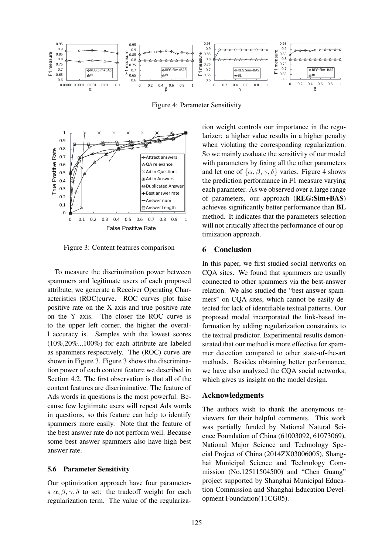

Figure 4: Parameter Sensitivity



Figure 3: Content features comparison

To measure the discrimination power between spammers and legitimate users of each proposed attribute, we generate a Receiver Operating Characteristics (ROC)curve. ROC curves plot false positive rate on the X axis and true positive rate on the Y axis. The closer the ROC curve is to the upper left corner, the higher the overall accuracy is. Samples with the lowest scores (10%,20%...100%) for each attribute are labeled as spammers respectively. The (ROC) curve are shown in Figure 3. Figure 3 shows the discrimination power of each content feature we described in Section 4.2. The first observation is that all of the content features are discriminative. The feature of Ads words in questions is the most powerful. Because few legitimate users will repeat Ads words in questions, so this feature can help to identify spammers more easily. Note that the feature of the best answer rate do not perform well. Because some best answer spammers also have high best answer rate.

# 5.6 Parameter Sensitivity

Our optimization approach have four parameters  $\alpha, \beta, \gamma, \delta$  to set: the tradeoff weight for each regularization term. The value of the regularization weight controls our importance in the regularizer: a higher value results in a higher penalty when violating the corresponding regularization. So we mainly evaluate the sensitivity of our model with parameters by fixing all the other parameters and let one of  $\{\alpha, \beta, \gamma, \delta\}$  varies. Figure 4 shows the prediction performance in F1 measure varying each parameter. As we observed over a large range of parameters, our approach (REG:Sim+BAS) achieves significantly better performance than BL method. It indicates that the parameters selection will not critically affect the performance of our optimization approach.

# 6 Conclusion

In this paper, we first studied social networks on CQA sites. We found that spammers are usually connected to other spammers via the best-answer relation. We also studied the "best answer spammers" on CQA sites, which cannot be easily detected for lack of identifiable textual patterns. Our proposed model incorporated the link-based information by adding regularization constraints to the textual predictor. Experimental results demonstrated that our method is more effective for spammer detection compared to other state-of-the-art methods. Besides obtaining better performance, we have also analyzed the CQA social networks, which gives us insight on the model design.

# Acknowledgments

The authors wish to thank the anonymous reviewers for their helpful comments. This work was partially funded by National Natural Science Foundation of China (61003092, 61073069), National Major Science and Technology Special Project of China (2014ZX03006005), Shanghai Municipal Science and Technology Commission (No.12511504500) and "Chen Guang" project supported by Shanghai Municipal Education Commission and Shanghai Education Development Foundation(11CG05).